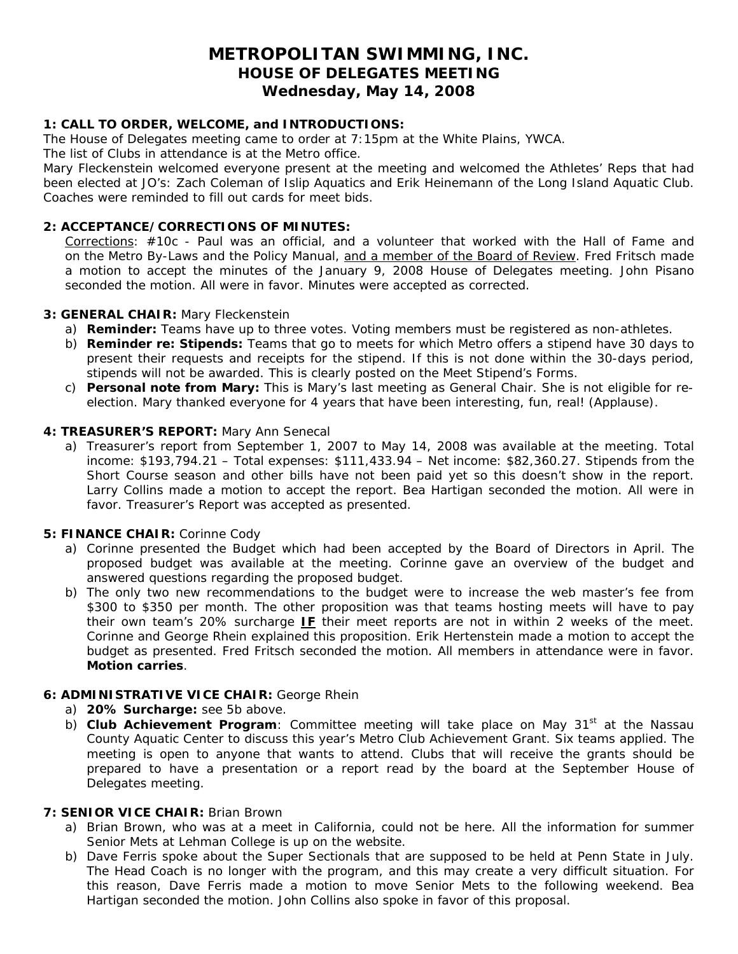## **METROPOLITAN SWIMMING, INC. HOUSE OF DELEGATES MEETING Wednesday, May 14, 2008**

#### **1: CALL TO ORDER, WELCOME, and INTRODUCTIONS:**

The House of Delegates meeting came to order at 7:15pm at the White Plains, YWCA.

The list of Clubs in attendance is at the Metro office.

Mary Fleckenstein welcomed everyone present at the meeting and welcomed the Athletes' Reps that had been elected at JO's: Zach Coleman of Islip Aquatics and Erik Heinemann of the Long Island Aquatic Club. Coaches were reminded to fill out cards for meet bids.

#### **2: ACCEPTANCE/CORRECTIONS OF MINUTES:**

Corrections: #10c - *Paul was an official, and a volunteer that worked with the Hall of Fame and on the Metro By-Laws and the Policy Manual, and a member of the Board of Review*. Fred Fritsch made a motion to accept the minutes of the January 9, 2008 House of Delegates meeting. John Pisano seconded the motion. All were in favor. Minutes were accepted as corrected.

#### **3: GENERAL CHAIR:** Mary Fleckenstein

- a) *Reminder:* Teams have up to three votes. Voting members must be registered as non-athletes.
- b) *Reminder re: Stipends:* Teams that go to meets for which Metro offers a stipend have 30 days to present their requests and receipts for the stipend. If this is not done within the 30-days period, stipends will not be awarded. This is clearly posted on the Meet Stipend's Forms.
- c) *Personal note from Mary:* This is Mary's last meeting as General Chair. She is not eligible for reelection. Mary thanked everyone for 4 years that have been interesting, fun, real! (*Applause*).

#### **4: TREASURER'S REPORT:** Mary Ann Senecal

a) Treasurer's report from September 1, 2007 to May 14, 2008 was available at the meeting. Total income: \$193,794.21 – Total expenses: \$111,433.94 – Net income: \$82,360.27. Stipends from the Short Course season and other bills have not been paid yet so this doesn't show in the report. Larry Collins made a motion to accept the report. Bea Hartigan seconded the motion. All were in favor. Treasurer's Report was accepted as presented.

#### **5: FINANCE CHAIR:** Corinne Cody

- a) Corinne presented the Budget which had been accepted by the Board of Directors in April. The proposed budget was available at the meeting. Corinne gave an overview of the budget and answered questions regarding the proposed budget.
- b) The only two new recommendations to the budget were to increase the web master's fee from \$300 to \$350 per month. The other proposition was that teams hosting meets will have to pay their own team's 20% surcharge **IF** their meet reports are not in within 2 weeks of the meet. Corinne and George Rhein explained this proposition. Erik Hertenstein made a motion to accept the budget as presented. Fred Fritsch seconded the motion. All members in attendance were in favor. **Motion carries**.

#### **6: ADMINISTRATIVE VICE CHAIR:** George Rhein

- a) **20% Surcharge:** see 5b above.
- b) **Club Achievement Program**: Committee meeting will take place on May 31<sup>st</sup> at the Nassau County Aquatic Center to discuss this year's Metro Club Achievement Grant. Six teams applied. The meeting is open to anyone that wants to attend. Clubs that will receive the grants should be prepared to have a presentation or a report read by the board at the September House of Delegates meeting.

#### **7: SENIOR VICE CHAIR:** Brian Brown

- a) Brian Brown, who was at a meet in California, could not be here. All the information for summer Senior Mets at Lehman College is up on the website.
- b) Dave Ferris spoke about the Super Sectionals that are supposed to be held at Penn State in July. The Head Coach is no longer with the program, and this may create a very difficult situation. For this reason, Dave Ferris made a motion to move Senior Mets to the following weekend. Bea Hartigan seconded the motion. John Collins also spoke in favor of this proposal.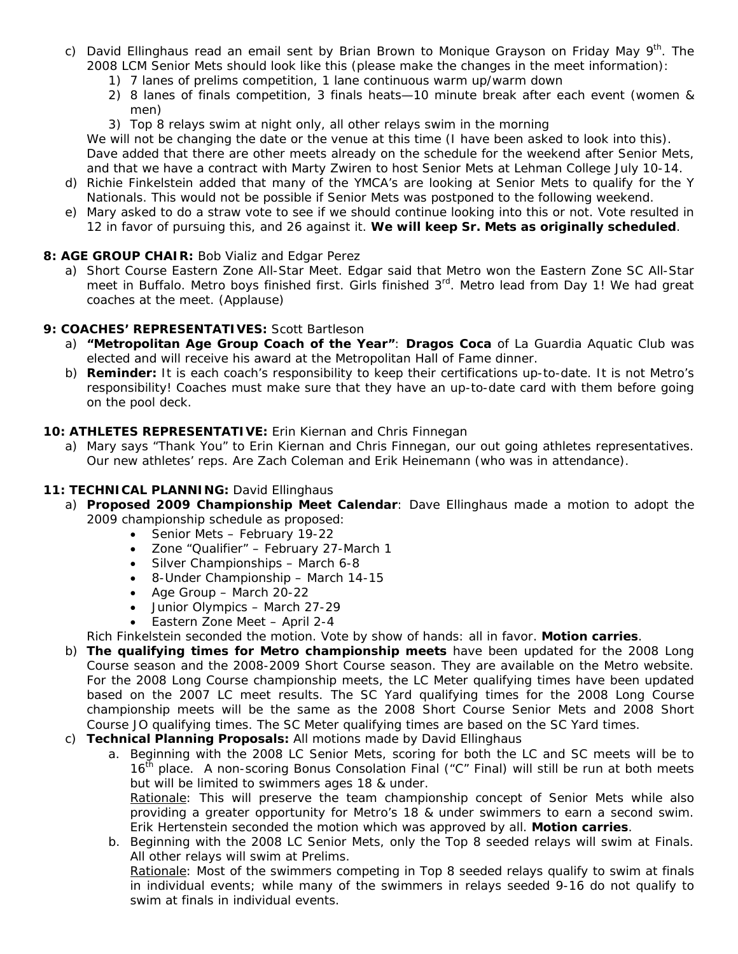- *c)* David Ellinghaus read an email sent by Brian Brown to Monique Grayson on Friday May 9th. *The 2008 LCM Senior Mets should look like this (please make the changes in the meet information):* 
	- *1) 7 lanes of prelims competition, 1 lane continuous warm up/warm down*
	- *2) 8 lanes of finals competition, 3 finals heats—10 minute break after each event (women & men)*

*3) Top 8 relays swim at night only, all other relays swim in the morning We will not be changing the date or the venue at this time (I have been asked to look into this).*  Dave added that there are other meets already on the schedule for the weekend after Senior Mets, and that we have a contract with Marty Zwiren to host Senior Mets at Lehman College July 10-14.

- d) Richie Finkelstein added that many of the YMCA's are looking at Senior Mets to qualify for the Y Nationals. This would not be possible if Senior Mets was postponed to the following weekend.
- e) Mary asked to do a straw vote to see if we should continue looking into this or not. Vote resulted in 12 in favor of pursuing this, and 26 against it. **We will keep Sr. Mets as originally scheduled**.

#### **8: AGE GROUP CHAIR:** Bob Vializ and Edgar Perez

a) Short Course Eastern Zone All-Star Meet. Edgar said that Metro won the Eastern Zone SC All-Star meet in Buffalo. Metro boys finished first. Girls finished 3<sup>rd</sup>. Metro lead from Day 1! We had great coaches at the meet. (*Applause*)

## **9: COACHES' REPRESENTATIVES:** Scott Bartleson

- a) **"Metropolitan Age Group Coach of the Year"**: **Dragos Coca** of La Guardia Aquatic Club was elected and will receive his award at the Metropolitan Hall of Fame dinner.
- b) **Reminder:** It is each coach's responsibility to keep their certifications up-to-date. It is not Metro's responsibility! Coaches must make sure that they have an up-to-date card with them before going on the pool deck.

#### **10: ATHLETES REPRESENTATIVE:** Erin Kiernan and Chris Finnegan

a) Mary says "Thank You" to Erin Kiernan and Chris Finnegan, our out going athletes representatives. Our new athletes' reps. Are Zach Coleman and Erik Heinemann (who was in attendance).

## 11: TECHNICAL PLANNING: David Ellinghaus

- a) **Proposed 2009 Championship Meet Calendar**: Dave Ellinghaus made a motion to adopt the 2009 championship schedule as proposed:
	- Senior Mets February 19-22
	- Zone "Qualifier" February 27-March 1
	- Silver Championships March 6-8
	- 8-Under Championship March 14-15
	- Age Group March 20-22
	- Junior Olympics March 27-29
	- Eastern Zone Meet April 2-4
	- Rich Finkelstein seconded the motion. Vote by show of hands: all in favor. **Motion carries**.
	- b) **The qualifying times for Metro championship meets** have been updated for the 2008 Long Course season and the 2008-2009 Short Course season. They are available on the Metro website. For the 2008 Long Course championship meets, the LC Meter qualifying times have been updated based on the 2007 LC meet results. The SC Yard qualifying times for the 2008 Long Course championship meets will be the same as the 2008 Short Course Senior Mets and 2008 Short Course JO qualifying times. The SC Meter qualifying times are based on the SC Yard times.
	- c) **Technical Planning Proposals:** All motions made by David Ellinghaus
		- a. Beginning with the 2008 LC Senior Mets, scoring for both the LC and SC meets will be to  $16<sup>th</sup>$  place. A non-scoring Bonus Consolation Final ("C" Final) will still be run at both meets but will be limited to swimmers ages 18 & under.

*Rationale:* This will preserve the team championship concept of Senior Mets while also providing a greater opportunity for Metro's 18 & under swimmers to earn a second swim. Erik Hertenstein seconded the motion which was approved by all. **Motion carries**.

b. Beginning with the 2008 LC Senior Mets, only the Top 8 seeded relays will swim at Finals. All other relays will swim at Prelims.

*Rationale:* Most of the swimmers competing in Top 8 seeded relays qualify to swim at finals in individual events; while many of the swimmers in relays seeded 9-16 do not qualify to swim at finals in individual events.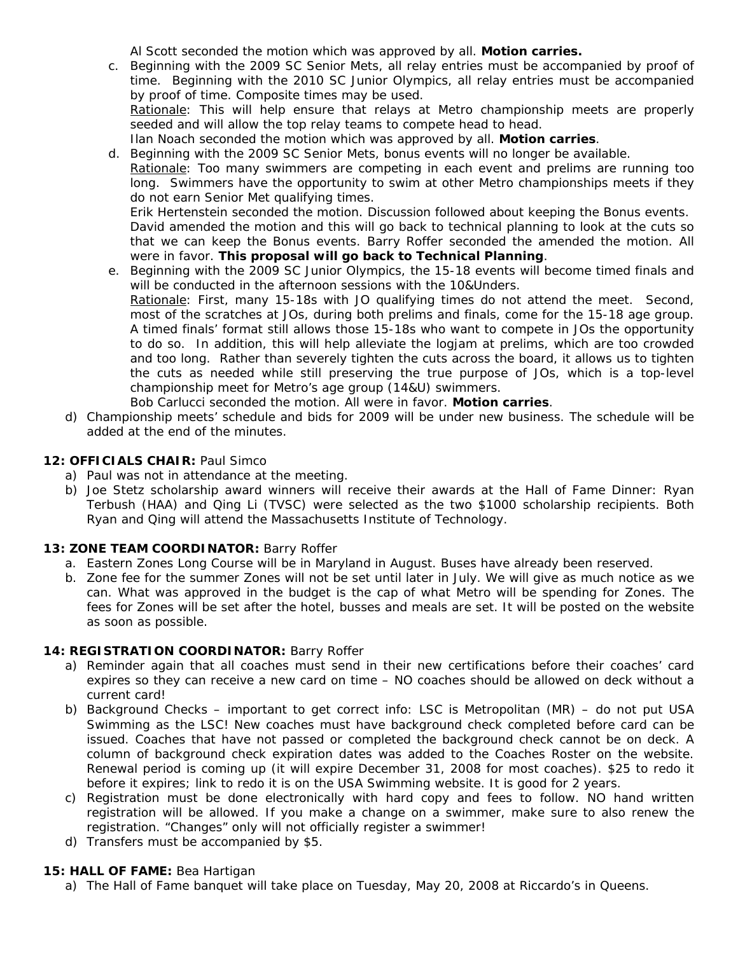Al Scott seconded the motion which was approved by all. **Motion carries.**

c. Beginning with the 2009 SC Senior Mets, all relay entries must be accompanied by proof of time. Beginning with the 2010 SC Junior Olympics, all relay entries must be accompanied by proof of time. Composite times may be used.

*Rationale:* This will help ensure that relays at Metro championship meets are properly seeded and will allow the top relay teams to compete head to head.

- Ilan Noach seconded the motion which was approved by all. **Motion carries**.
- d. Beginning with the 2009 SC Senior Mets, bonus events will no longer be available.

*Rationale:* Too many swimmers are competing in each event and prelims are running too long. Swimmers have the opportunity to swim at other Metro championships meets if they do not earn Senior Met qualifying times.

Erik Hertenstein seconded the motion. Discussion followed about keeping the Bonus events.

David amended the motion and this will go back to technical planning to look at the cuts so that we can keep the Bonus events. Barry Roffer seconded the amended the motion. All were in favor. **This proposal will go back to Technical Planning**.

e. Beginning with the 2009 SC Junior Olympics, the 15-18 events will become timed finals and will be conducted in the afternoon sessions with the 10&Unders.

*Rationale:* First, many 15-18s with JO qualifying times do not attend the meet. Second, most of the scratches at JOs, during both prelims and finals, come for the 15-18 age group. A timed finals' format still allows those 15-18s who want to compete in JOs the opportunity to do so. In addition, this will help alleviate the logjam at prelims, which are too crowded and too long. Rather than severely tighten the cuts across the board, it allows us to tighten the cuts as needed while still preserving the true purpose of JOs, which is a top-level championship meet for Metro's age group (14&U) swimmers.

Bob Carlucci seconded the motion. All were in favor. **Motion carries**.

d) Championship meets' schedule and bids for 2009 will be under new business. The schedule will be added at the end of the minutes.

## **12: OFFICIALS CHAIR:** Paul Simco

- a) Paul was not in attendance at the meeting.
- b) Joe Stetz scholarship award winners will receive their awards at the Hall of Fame Dinner: Ryan Terbush (HAA) and Qing Li (TVSC) were selected as the two \$1000 scholarship recipients. Both Ryan and Qing will attend the Massachusetts Institute of Technology.

#### **13: ZONE TEAM COORDINATOR:** Barry Roffer

- a. Eastern Zones Long Course will be in Maryland in August. Buses have already been reserved.
- b. Zone fee for the summer Zones will not be set until later in July. We will give as much notice as we can. What was approved in the budget is the cap of what Metro will be spending for Zones. The fees for Zones will be set after the hotel, busses and meals are set. It will be posted on the website as soon as possible.

#### **14: REGISTRATION COORDINATOR:** Barry Roffer

- a) Reminder again that all coaches must send in their new certifications before their coaches' card expires so they can receive a new card on time – NO coaches should be allowed on deck without a current card!
- b) Background Checks important to get correct info: LSC is Metropolitan (MR) do not put USA Swimming as the LSC! New coaches must have background check completed before card can be issued. Coaches that have not passed or completed the background check cannot be on deck. A column of background check expiration dates was added to the Coaches Roster on the website. Renewal period is coming up (it will expire December 31, 2008 for most coaches). \$25 to redo it before it expires; link to redo it is on the USA Swimming website. It is good for 2 years.
- c) Registration must be done electronically with hard copy and fees to follow. NO hand written registration will be allowed. If you make a change on a swimmer, make sure to also renew the registration. "Changes" only will not officially register a swimmer!
- d) Transfers must be accompanied by \$5.

#### **15: HALL OF FAME:** Bea Hartigan

a) The Hall of Fame banquet will take place on Tuesday, May 20, 2008 at Riccardo's in Queens.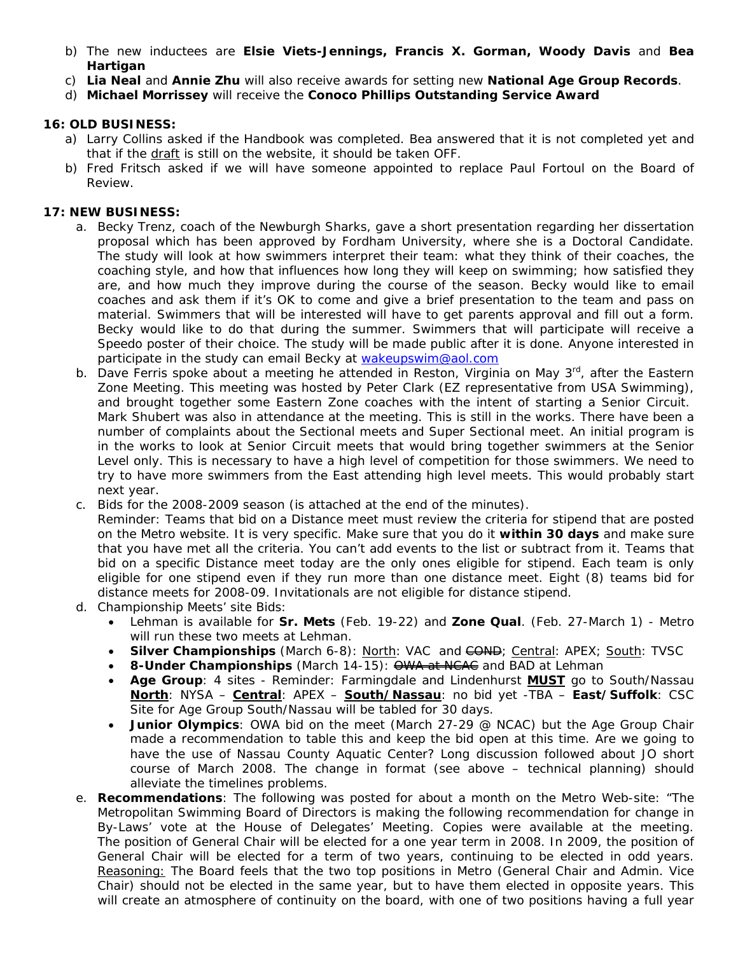- b) The new inductees are **Elsie Viets-Jennings, Francis X. Gorman, Woody Davis** and **Bea Hartigan**
- c) **Lia Neal** and **Annie Zhu** will also receive awards for setting new **National Age Group Records**.
- d) **Michael Morrissey** will receive the **Conoco Phillips Outstanding Service Award**

## **16: OLD BUSINESS:**

- a) Larry Collins asked if the Handbook was completed. Bea answered that it is not completed yet and that if the *draft* is still on the website, it should be taken OFF.
- b) Fred Fritsch asked if we will have someone appointed to replace Paul Fortoul on the Board of Review.

#### **17: NEW BUSINESS:**

- a. Becky Trenz, coach of the Newburgh Sharks, gave a short presentation regarding her dissertation proposal which has been approved by Fordham University, where she is a Doctoral Candidate. The study will look at how swimmers interpret their team: what they think of their coaches, the coaching style, and how that influences how long they will keep on swimming; how satisfied they are, and how much they improve during the course of the season. Becky would like to email coaches and ask them if it's OK to come and give a brief presentation to the team and pass on material. Swimmers that will be interested will have to get parents approval and fill out a form. Becky would like to do that during the summer. Swimmers that will participate will receive a Speedo poster of their choice. The study will be made public after it is done. Anyone interested in participate in the study can email Becky at [wakeupswim@aol.com](mailto:wakeupswim@aol.com)
- b. Dave Ferris spoke about a meeting he attended in Reston, Virginia on May 3<sup>rd</sup>, after the Eastern Zone Meeting. This meeting was hosted by Peter Clark (EZ representative from USA Swimming), and brought together some Eastern Zone coaches with the intent of starting a Senior Circuit. Mark Shubert was also in attendance at the meeting. This is still in the works. There have been a number of complaints about the Sectional meets and Super Sectional meet. An initial program is in the works to look at Senior Circuit meets that would bring together swimmers at the Senior Level only. This is necessary to have a high level of competition for those swimmers. We need to try to have more swimmers from the East attending high level meets. This would probably start next year.
- c. Bids for the 2008-2009 season (is attached at the end of the minutes).

Reminder: Teams that bid on a Distance meet must review the criteria for stipend that are posted on the Metro website. It is very specific. Make sure that you do it **within 30 days** and make sure that you have met all the criteria. You can't add events to the list or subtract from it. Teams that bid on a specific Distance meet today are the only ones eligible for stipend. Each team is only eligible for one stipend even if they run more than one distance meet. Eight (8) teams bid for distance meets for 2008-09. Invitationals are not eligible for distance stipend.

- d. Championship Meets' site Bids:
	- Lehman is available for **Sr. Mets** (Feb. 19-22) and **Zone Qual**. (Feb. 27-March 1) Metro will run these two meets at Lehman.
	- **Silver Championships** (March 6-8): North: VAC and  $\overline{\text{GOP}}$ ; Central: APEX; South: TVSC
	- 8-Under Championships (March 14-15):  $\Theta$ WA at NGAG and BAD at Lehman
	- **Age Group**: 4 sites Reminder: Farmingdale and Lindenhurst **MUST** go to South/Nassau **North**: NYSA – **Central**: APEX – **South/Nassau**: no bid yet -TBA – **East/Suffolk**: CSC Site for Age Group South/Nassau will be tabled for 30 days.
	- **Junior Olympics**: OWA bid on the meet (March 27-29 @ NCAC) but the Age Group Chair made a recommendation to table this and keep the bid open at this time. Are we going to have the use of Nassau County Aquatic Center? Long discussion followed about JO short course of March 2008. The change in format (see above – technical planning) should alleviate the timelines problems.
- e. **Recommendations**: The following was posted for about a month on the Metro Web-site: "The Metropolitan Swimming Board of Directors is making the following recommendation for change in By-Laws' vote at the House of Delegates' Meeting. Copies were available at the meeting. *The position of General Chair will be elected for a one year term in 2008. In 2009, the position of General Chair will be elected for a term of two years, continuing to be elected in odd years.* Reasoning: The Board feels that the two top positions in Metro (General Chair and Admin. Vice Chair) should not be elected in the same year, but to have them elected in opposite years. This will create an atmosphere of continuity on the board, with one of two positions having a full year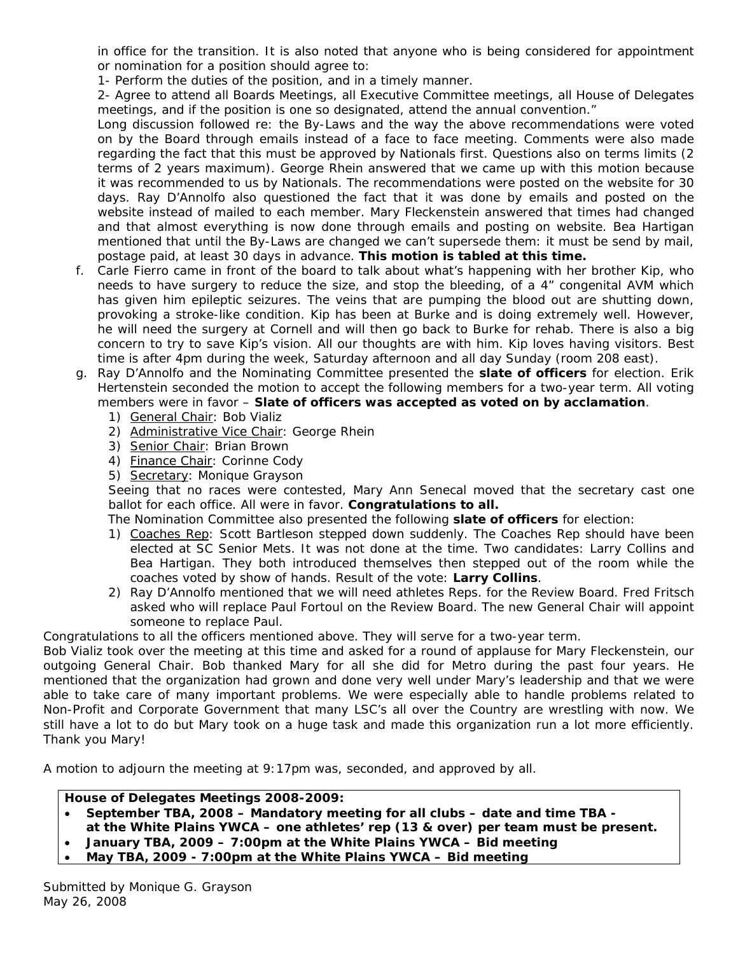in office for the transition. It is also noted that anyone who is being considered for appointment or nomination for a position should agree to:

1- Perform the duties of the position, and in a timely manner.

2- Agree to attend all Boards Meetings, all Executive Committee meetings, all House of Delegates meetings, and if the position is one so designated, attend the annual convention."

Long discussion followed re: the By-Laws and the way the above recommendations were voted on by the Board through emails instead of a face to face meeting. Comments were also made regarding the fact that this must be approved by Nationals first. Questions also on terms limits (2 terms of 2 years maximum). George Rhein answered that we came up with this motion because it was recommended to us by Nationals. The recommendations were posted on the website for 30 days. Ray D'Annolfo also questioned the fact that it was done by emails and posted on the website instead of mailed to each member. Mary Fleckenstein answered that times had changed and that almost everything is now done through emails and posting on website. Bea Hartigan mentioned that until the By-Laws are changed we can't supersede them: it must be send by mail, postage paid, at least 30 days in advance. **This motion is tabled at this time.** 

- f. Carle Fierro came in front of the board to talk about what's happening with her brother Kip, who needs to have surgery to reduce the size, and stop the bleeding, of a 4" congenital AVM which has given him epileptic seizures. The veins that are pumping the blood out are shutting down, provoking a stroke-like condition. Kip has been at Burke and is doing extremely well. However, he will need the surgery at Cornell and will then go back to Burke for rehab. There is also a big concern to try to save Kip's vision. All our thoughts are with him. Kip loves having visitors. Best time is after 4pm during the week, Saturday afternoon and all day Sunday (room 208 east).
- g. Ray D'Annolfo and the Nominating Committee presented the **slate of officers** for election. Erik Hertenstein seconded the motion to accept the following members for a two-year term. All voting members were in favor – **Slate of officers was accepted as voted on by acclamation**.
	- 1) General Chair: Bob Vializ
	- 2) Administrative Vice Chair: George Rhein
	- 3) Senior Chair: Brian Brown
	- 4) Finance Chair: Corinne Cody
	- 5) Secretary: Monique Grayson

Seeing that no races were contested, Mary Ann Senecal moved that the secretary cast one ballot for each office. All were in favor. **Congratulations to all.**

The Nomination Committee also presented the following **slate of officers** for election:

- 1) Coaches Rep: Scott Bartleson stepped down suddenly. The Coaches Rep should have been elected at SC Senior Mets. It was not done at the time. Two candidates: Larry Collins and Bea Hartigan. They both introduced themselves then stepped out of the room while the coaches voted by show of hands. Result of the vote: **Larry Collins**.
- 2) Ray D'Annolfo mentioned that we will need athletes Reps. for the Review Board. Fred Fritsch asked who will replace Paul Fortoul on the Review Board. The new General Chair will appoint someone to replace Paul.

Congratulations to all the officers mentioned above. They will serve for a two-year term.

Bob Vializ took over the meeting at this time and asked for a round of applause for Mary Fleckenstein, our outgoing General Chair. Bob thanked Mary for all she did for Metro during the past four years. He mentioned that the organization had grown and done very well under Mary's leadership and that we were able to take care of many important problems. We were especially able to handle problems related to Non-Profit and Corporate Government that many LSC's all over the Country are wrestling with now. We still have a lot to do but Mary took on a huge task and made this organization run a lot more efficiently. Thank you Mary!

A motion to adjourn the meeting at 9:17pm was, seconded, and approved by all.

## **House of Delegates Meetings 2008-2009:**

- **September TBA, 2008 Mandatory meeting for all clubs date and time TBA at the White Plains YWCA – one athletes' rep (13 & over) per team must be present.**
- **January TBA, 2009 7:00pm at the White Plains YWCA Bid meeting**
- **May TBA, 2009 7:00pm at the White Plains YWCA Bid meeting**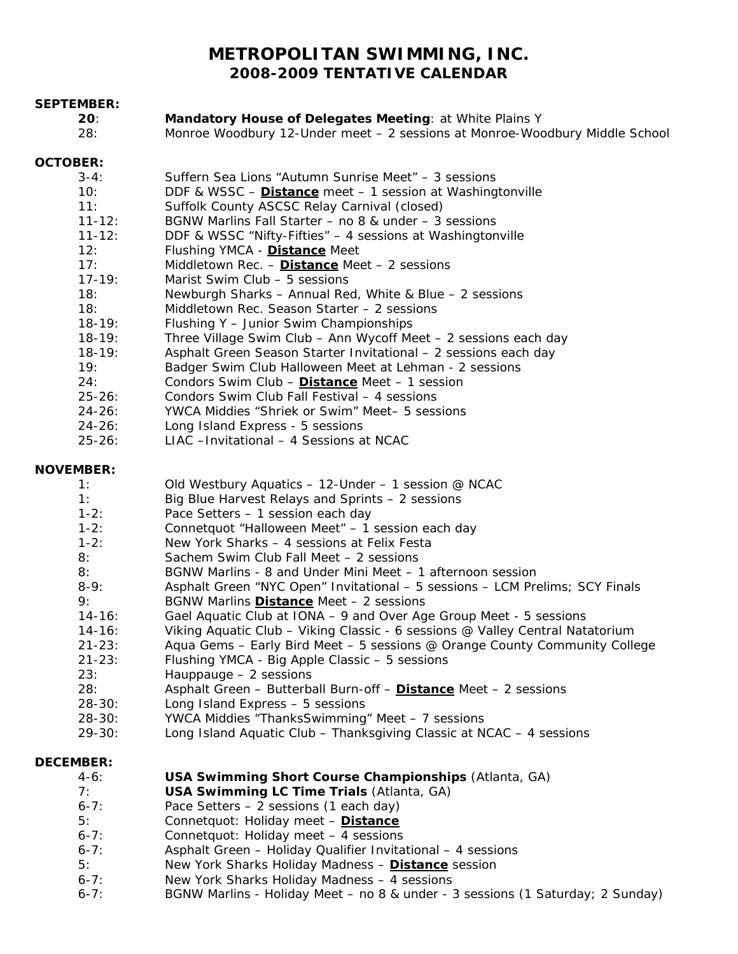# **METROPOLITAN SWIMMING, INC. 2008-2009 TENTATIVE CALENDAR**

|                  | <b>SEPTEMBER:</b> |                                                                                |
|------------------|-------------------|--------------------------------------------------------------------------------|
|                  | 20:               | Mandatory House of Delegates Meeting: at White Plains Y                        |
|                  | 28:               | Monroe Woodbury 12-Under meet - 2 sessions at Monroe-Woodbury Middle School    |
|                  |                   |                                                                                |
| <b>OCTOBER:</b>  |                   |                                                                                |
|                  | $3 - 4:$          | Suffern Sea Lions "Autumn Sunrise Meet" - 3 sessions                           |
|                  | 10:               | DDF & WSSC - Distance meet - 1 session at Washingtonville                      |
|                  | 11:               | Suffolk County ASCSC Relay Carnival (closed)                                   |
|                  | $11 - 12:$        | BGNW Marlins Fall Starter - no 8 & under - 3 sessions                          |
|                  | $11 - 12:$        | DDF & WSSC "Nifty-Fifties" - 4 sessions at Washingtonville                     |
|                  | 12:               | Flushing YMCA - Distance Meet                                                  |
|                  | 17:               | Middletown Rec. - Distance Meet - 2 sessions                                   |
|                  | $17-19:$          | Marist Swim Club - 5 sessions                                                  |
|                  | 18:               | Newburgh Sharks - Annual Red, White & Blue - 2 sessions                        |
|                  | 18:               | Middletown Rec. Season Starter - 2 sessions                                    |
|                  | $18-19:$          | Flushing Y - Junior Swim Championships                                         |
|                  | $18-19:$          | Three Village Swim Club - Ann Wycoff Meet - 2 sessions each day                |
|                  | $18-19:$          | Asphalt Green Season Starter Invitational - 2 sessions each day                |
|                  | 19:               | Badger Swim Club Halloween Meet at Lehman - 2 sessions                         |
|                  | 24:               | Condors Swim Club - Distance Meet - 1 session                                  |
|                  | $25 - 26$ :       | Condors Swim Club Fall Festival - 4 sessions                                   |
|                  | $24 - 26:$        | YWCA Middies "Shriek or Swim" Meet- 5 sessions                                 |
|                  | $24 - 26:$        | Long Island Express - 5 sessions                                               |
|                  | $25 - 26:$        | LIAC -Invitational - 4 Sessions at NCAC                                        |
|                  |                   |                                                                                |
| <b>NOVEMBER:</b> |                   |                                                                                |
|                  | 1:                | Old Westbury Aquatics - 12-Under - 1 session $@$ NCAC                          |
|                  | 1:                | Big Blue Harvest Relays and Sprints - 2 sessions                               |
|                  | $1-2:$            | Pace Setters - 1 session each day                                              |
|                  | $1-2:$            | Connetquot "Halloween Meet" - 1 session each day                               |
|                  | $1 - 2:$          | New York Sharks - 4 sessions at Felix Festa                                    |
|                  | 8:                | Sachem Swim Club Fall Meet - 2 sessions                                        |
|                  | 8:                | BGNW Marlins - 8 and Under Mini Meet - 1 afternoon session                     |
|                  | $8-9:$            | Asphalt Green "NYC Open" Invitational - 5 sessions - LCM Prelims; SCY Finals   |
|                  | 9:                | BGNW Marlins <b>Distance</b> Meet - 2 sessions                                 |
|                  | $14 - 16:$        | Gael Aquatic Club at IONA - 9 and Over Age Group Meet - 5 sessions             |
|                  | $14 - 16:$        | Viking Aquatic Club - Viking Classic - 6 sessions @ Valley Central Natatorium  |
|                  | $21 - 23:$        | Aqua Gems $-$ Early Bird Meet $-$ 5 sessions @ Orange County Community College |
|                  | $21 - 23:$        | Flushing YMCA - Big Apple Classic - 5 sessions                                 |
|                  | 23:               | Hauppauge - 2 sessions                                                         |
|                  | 28:               | Asphalt Green - Butterball Burn-off - Distance Meet - 2 sessions               |
|                  | $28 - 30:$        | Long Island Express - 5 sessions                                               |
|                  | $28 - 30:$        | YWCA Middies "ThanksSwimming" Meet - 7 sessions                                |
|                  | 29-30:            | Long Island Aquatic Club - Thanksgiving Classic at NCAC - 4 sessions           |
|                  |                   |                                                                                |
| <b>DECEMBER:</b> |                   |                                                                                |
|                  | $4-6:$            | <b>USA Swimming Short Course Championships (Atlanta, GA)</b>                   |
|                  | 7:                | <b>USA Swimming LC Time Trials (Atlanta, GA)</b>                               |
|                  | $6 - 7:$          | Pace Setters - 2 sessions (1 each day)                                         |
|                  | 5:                | Connetquot: Holiday meet - Distance                                            |
|                  | $6 - 7:$          | Connetquot: Holiday meet - 4 sessions                                          |
|                  | $6 - 7:$          | Asphalt Green - Holiday Qualifier Invitational - 4 sessions                    |
|                  | 5:                | New York Sharks Holiday Madness - Distance session                             |
|                  | $6 - 7:$          | New York Sharks Holiday Madness - 4 sessions                                   |
|                  | $6 - 7:$          | BGNW Marlins - Holiday Meet - no 8 & under - 3 sessions (1 Saturday; 2 Sunday) |